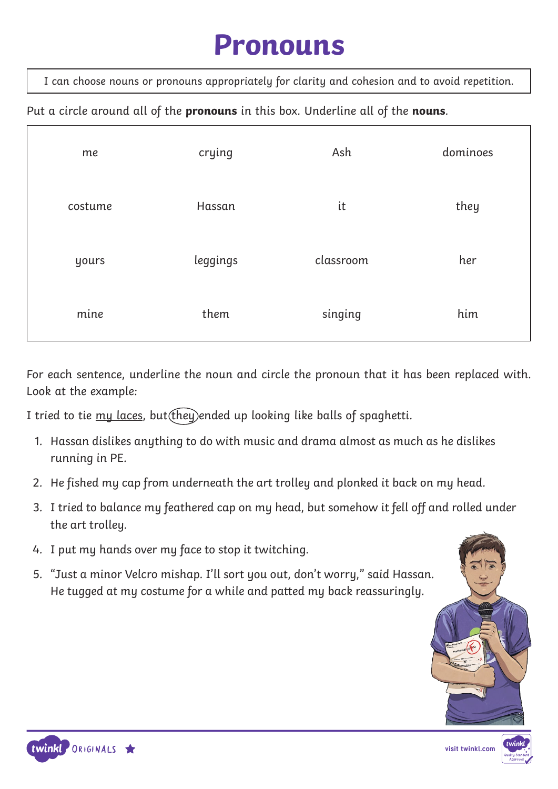#### **Pronouns**

I can choose nouns or pronouns appropriately for clarity and cohesion and to avoid repetition.

Put a circle around all of the **pronouns** in this box. Underline all of the **nouns**.

| me      | crying   | Ash       | dominoes |
|---------|----------|-----------|----------|
| costume | Hassan   | it        | they     |
| yours   | leggings | classroom | her      |
| mine    | them     | singing   | him      |

For each sentence, underline the noun and circle the pronoun that it has been replaced with. Look at the example:

I tried to tie  $\frac{m}{v}$  laces, but  $(\text{they})$ ended up looking like balls of spaghetti.

- 1. Hassan dislikes anything to do with music and drama almost as much as he dislikes running in PE.
- 2. He fished my cap from underneath the art trolley and plonked it back on my head.
- 3. I tried to balance my feathered cap on my head, but somehow it fell off and rolled under the art trolley.
- 4. I put my hands over my face to stop it twitching.
- 5. "Just a minor Velcro mishap. I'll sort you out, don't worry," said Hassan. He tugged at my costume for a while and patted my back reassuringly.





**visit twinkl.com**

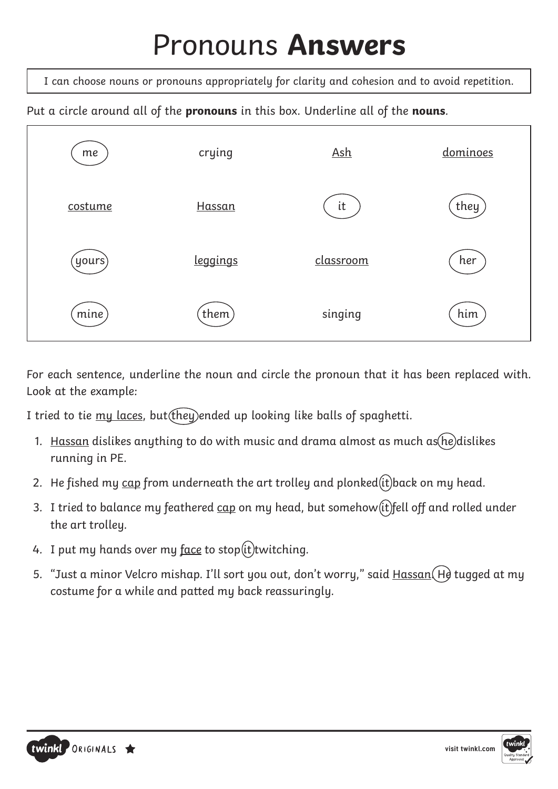# Pronouns **Answers**

I can choose nouns or pronouns appropriately for clarity and cohesion and to avoid repetition.

Put a circle around all of the **pronouns** in this box. Underline all of the **nouns**.



For each sentence, underline the noun and circle the pronoun that it has been replaced with. Look at the example:

I tried to tie my laces, but (they) ended up looking like balls of spaghetti.

- 1. Hassan dislikes anything to do with music and drama almost as much as he dislikes running in PE.
- 2. He fished my cap from underneath the art trolley and plonked $(ii)$ back on my head.
- 3. I tried to balance my feathered  $\frac{\text{cap}}{\text{cap}}$  on my head, but somehow  $(\text{it})$  fell off and rolled under the art trolley.
- 4. I put my hands over my face to stop $(it)$ twitching.
- 5. "Just a minor Velcro mishap. I'll sort you out, don't worry," said Hassan (He tugged at my costume for a while and patted my back reassuringly.



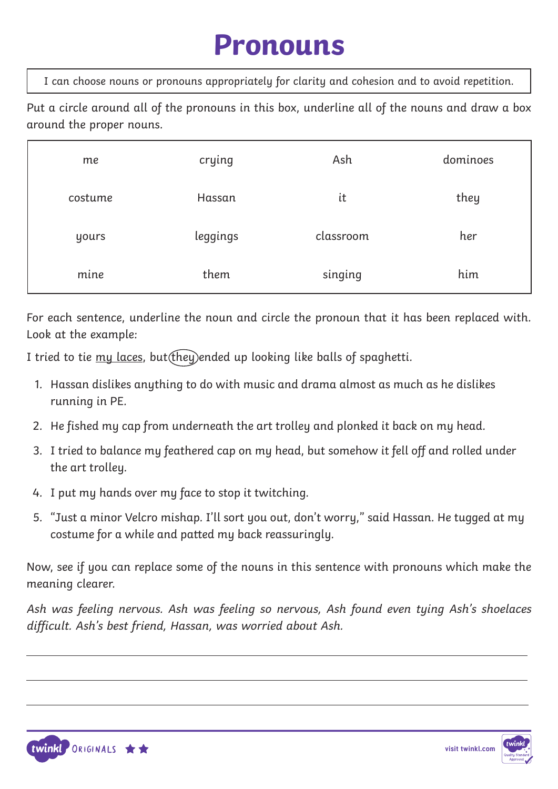#### **Pronouns**

I can choose nouns or pronouns appropriately for clarity and cohesion and to avoid repetition.

Put a circle around all of the pronouns in this box, underline all of the nouns and draw a box around the proper nouns.

| me      | crying   | Ash       | dominoes |
|---------|----------|-----------|----------|
| costume | Hassan   | it        | they     |
| yours   | leggings | classroom | her      |
| mine    | them     | singing   | him      |

For each sentence, underline the noun and circle the pronoun that it has been replaced with. Look at the example:

I tried to tie  $mu$  laces, but  $($ they) ended up looking like balls of spaghetti.

- 1. Hassan dislikes anything to do with music and drama almost as much as he dislikes running in PE.
- 2. He fished my cap from underneath the art trolley and plonked it back on my head.
- 3. I tried to balance my feathered cap on my head, but somehow it fell off and rolled under the art trolley.
- 4. I put my hands over my face to stop it twitching.
- 5. "Just a minor Velcro mishap. I'll sort you out, don't worry," said Hassan. He tugged at my costume for a while and patted my back reassuringly.

Now, see if you can replace some of the nouns in this sentence with pronouns which make the meaning clearer.

Ash was feeling nervous. Ash was feeling so nervous, Ash found even tying Ash's shoelaces difficult. Ash's best friend, Hassan, was worried about Ash.



 $\overline{a}$ 

 $\overline{a}$ 



 $\overline{a}$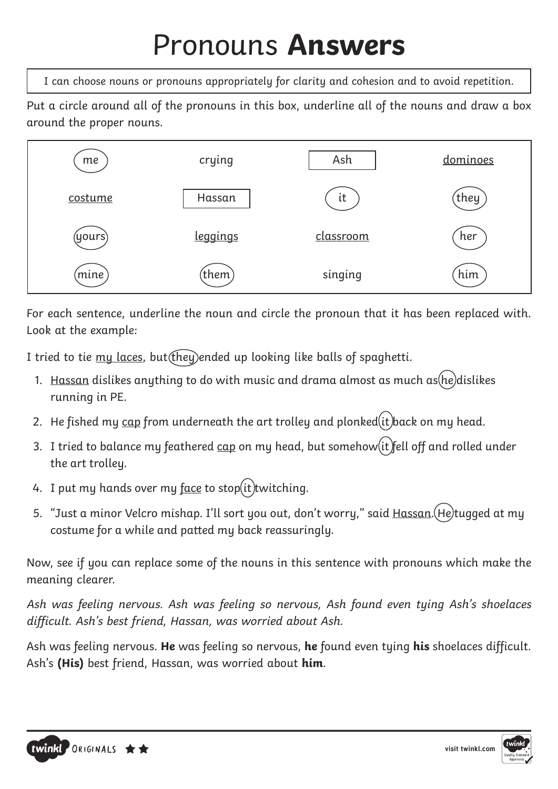# Pronouns **Answers**

I can choose nouns or pronouns appropriately for clarity and cohesion and to avoid repetition.

Put a circle around all of the pronouns in this box, underline all of the nouns and draw a box around the proper nouns.



For each sentence, underline the noun and circle the pronoun that it has been replaced with. Look at the example:

I tried to tie  $mu$  laces, but  $($ they) ended up looking like balls of spaghetti.

- 1. Hassan dislikes anything to do with music and drama almost as much as  $he)$ dislikes running in PE.
- 2. He fished my cap from underneath the art trolley and plonked  $(it)$  back on my head.
- 3. I tried to balance my feathered  $c$ ap on my head, but somehow  $(it)$  fell off and rolled under the art trolley.
- 4. I put my hands over my  $face$  to stop(it) twitching.
- 5. "Just a minor Velcro mishap. I'll sort you out, don't worry," said Hassan. (He)tugged at my costume for a while and patted my back reassuringly.

Now, see if you can replace some of the nouns in this sentence with pronouns which make the meaning clearer.

Ash was feeling nervous. Ash was feeling so nervous, Ash found even tying Ash's shoelaces difficult. Ash's best friend, Hassan, was worried about Ash.

Ash was feeling nervous. **He** was feeling so nervous, **he** found even tying **his** shoelaces difficult. Ash's **(His)** best friend, Hassan, was worried about **him**.



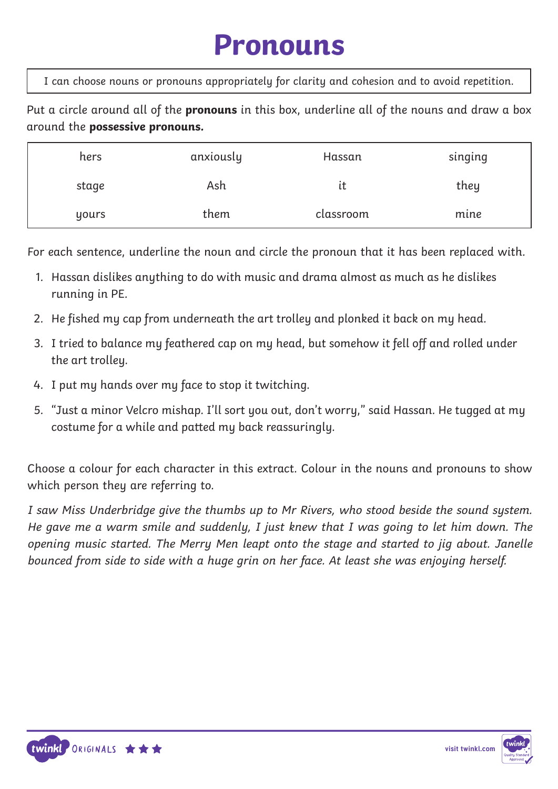#### **Pronouns**

I can choose nouns or pronouns appropriately for clarity and cohesion and to avoid repetition.

Put a circle around all of the **pronouns** in this box, underline all of the nouns and draw a box around the **possessive pronouns.** 

| hers  | anxiously | Hassan    | singing |
|-------|-----------|-----------|---------|
| stage | Ash       | ιt        | they    |
| yours | them      | classroom | mine    |

For each sentence, underline the noun and circle the pronoun that it has been replaced with.

- 1. Hassan dislikes anything to do with music and drama almost as much as he dislikes running in PE.
- 2. He fished my cap from underneath the art trolley and plonked it back on my head.
- 3. I tried to balance my feathered cap on my head, but somehow it fell off and rolled under the art trolley.
- 4. I put my hands over my face to stop it twitching.
- 5. "Just a minor Velcro mishap. I'll sort you out, don't worry," said Hassan. He tugged at my costume for a while and patted my back reassuringly.

Choose a colour for each character in this extract. Colour in the nouns and pronouns to show which person they are referring to.

I saw Miss Underbridge give the thumbs up to Mr Rivers, who stood beside the sound system. He gave me a warm smile and suddenly, I just knew that I was going to let him down. The opening music started. The Merry Men leapt onto the stage and started to jig about. Janelle bounced from side to side with a huge grin on her face. At least she was enjoying herself.